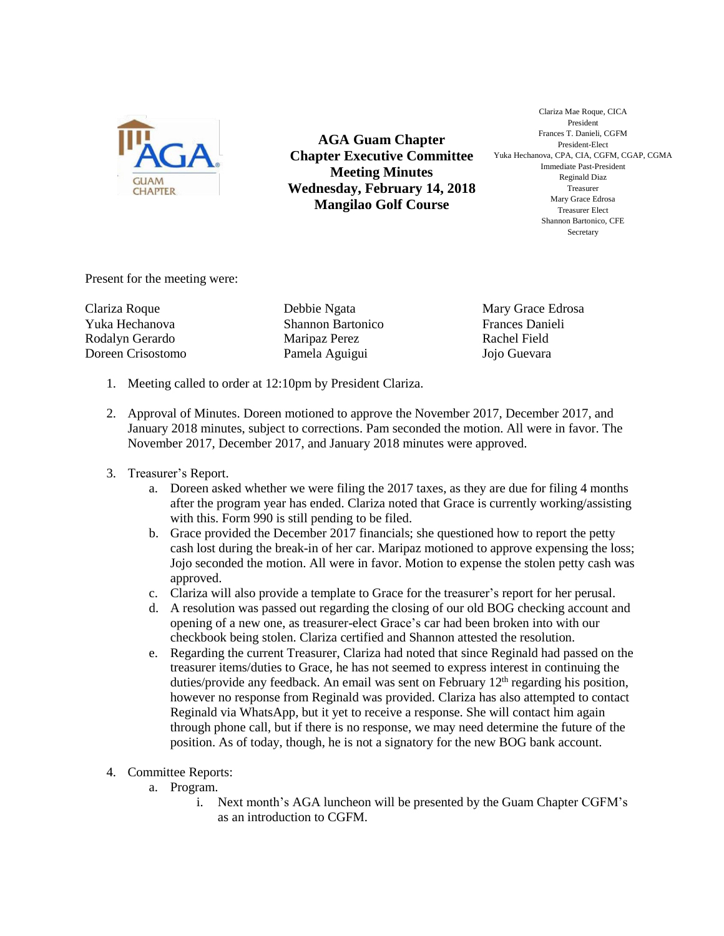

**AGA Guam Chapter Chapter Executive Committee Meeting Minutes Wednesday, February 14, 2018 Mangilao Golf Course**

Clariza Mae Roque, CICA President Frances T. Danieli, CGFM President-Elect Yuka Hechanova, CPA, CIA, CGFM, CGAP, CGMA Immediate Past-President Reginald Diaz Treasurer Mary Grace Edrosa Treasurer Elect Shannon Bartonico, CFE Secretary

Present for the meeting were:

Clariza Roque Yuka Hechanova Rodalyn Gerardo Doreen Crisostomo

Debbie Ngata Shannon Bartonico Maripaz Perez Pamela Aguigui

Mary Grace Edrosa Frances Danieli Rachel Field Jojo Guevara

- 1. Meeting called to order at 12:10pm by President Clariza.
- 2. Approval of Minutes. Doreen motioned to approve the November 2017, December 2017, and January 2018 minutes, subject to corrections. Pam seconded the motion. All were in favor. The November 2017, December 2017, and January 2018 minutes were approved.
- 3. Treasurer's Report.
	- a. Doreen asked whether we were filing the 2017 taxes, as they are due for filing 4 months after the program year has ended. Clariza noted that Grace is currently working/assisting with this. Form 990 is still pending to be filed.
	- b. Grace provided the December 2017 financials; she questioned how to report the petty cash lost during the break-in of her car. Maripaz motioned to approve expensing the loss; Jojo seconded the motion. All were in favor. Motion to expense the stolen petty cash was approved.
	- c. Clariza will also provide a template to Grace for the treasurer's report for her perusal.
	- d. A resolution was passed out regarding the closing of our old BOG checking account and opening of a new one, as treasurer-elect Grace's car had been broken into with our checkbook being stolen. Clariza certified and Shannon attested the resolution.
	- e. Regarding the current Treasurer, Clariza had noted that since Reginald had passed on the treasurer items/duties to Grace, he has not seemed to express interest in continuing the duties/provide any feedback. An email was sent on February  $12<sup>th</sup>$  regarding his position, however no response from Reginald was provided. Clariza has also attempted to contact Reginald via WhatsApp, but it yet to receive a response. She will contact him again through phone call, but if there is no response, we may need determine the future of the position. As of today, though, he is not a signatory for the new BOG bank account.
- 4. Committee Reports:
	- a. Program.
		- i. Next month's AGA luncheon will be presented by the Guam Chapter CGFM's as an introduction to CGFM.